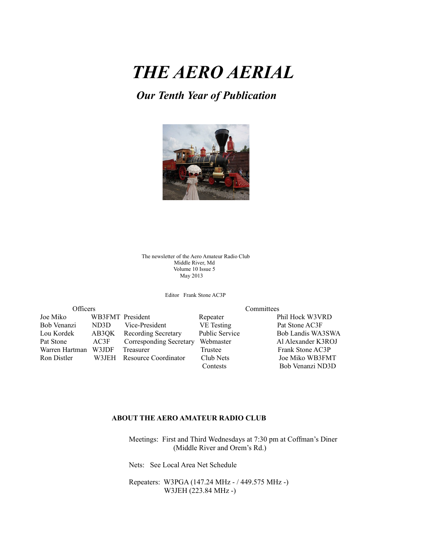# *THE AERO AERIAL*

#### *Our Tenth Year of Publication*



The newsletter of the Aero Amateur Radio Club Middle River, Md Volume 10 Issue 5 May 2013

Editor Frank Stone AC3P

| Officers |                |                  |                            |  |
|----------|----------------|------------------|----------------------------|--|
|          | Joe Miko       | WB3FMT President |                            |  |
|          | Bob Venanzi    | ND3D -           | Vice-President             |  |
|          | Lou Kordek     | AB3QK            | <b>Recording Secretary</b> |  |
|          | Pat Stone      | AC3F             | Corresponding Secretary    |  |
|          | Warren Hartman | W3JDF            | Treasurer                  |  |
|          | Ron Distler    | W3.IEH           | Resource Coordinator       |  |
|          |                |                  |                            |  |

Committees

Repeater Phil Hock W3VRD VE Testing Pat Stone AC3F Lou Kordek AB3QK Recording Secretary Public Service Bob Landis WA3SWA Al Alexander K3ROJ Trustee Frank Stone AC3P Club Nets Joe Miko WB3FMT Contests Bob Venanzi ND3D

#### **ABOUT THE AERO AMATEUR RADIO CLUB**

 Meetings: First and Third Wednesdays at 7:30 pm at Coffman's Diner (Middle River and Orem's Rd.)

Nets: See Local Area Net Schedule

 Repeaters: W3PGA (147.24 MHz - / 449.575 MHz -) W3JEH (223.84 MHz -)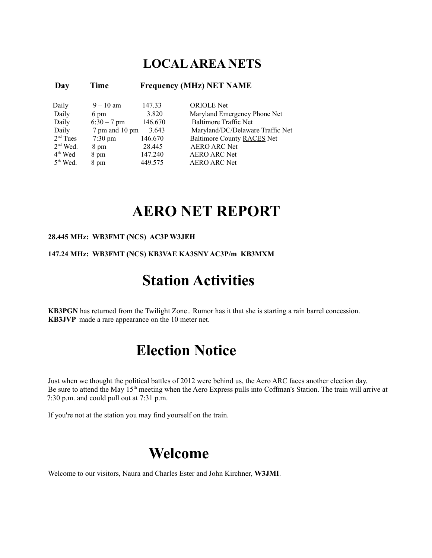#### **LOCAL AREA NETS**

| Day                  | Time              | <b>Frequency (MHz) NET NAME</b> |                                  |  |
|----------------------|-------------------|---------------------------------|----------------------------------|--|
| Daily                | $9 - 10$ am       | 147.33                          | <b>ORIOLE</b> Net                |  |
| Daily                | 6 pm              | 3.820                           | Maryland Emergency Phone Net     |  |
| Daily                | $6:30 - 7$ pm     | 146.670                         | <b>Baltimore Traffic Net</b>     |  |
| Daily                | 7 pm and 10 pm    | 3.643                           | Maryland/DC/Delaware Traffic Net |  |
| $2nd$ Tues           | $7:30 \text{ pm}$ | 146.670                         | Baltimore County RACES Net       |  |
| $2nd$ Wed.           | 8 pm              | 28.445                          | <b>AERO ARC Net</b>              |  |
| $4th$ Wed            | 8 pm              | 147.240                         | <b>AERO ARC Net</b>              |  |
| 5 <sup>th</sup> Wed. | 8 pm              | 449.575                         | <b>AERO ARC Net</b>              |  |
|                      |                   |                                 |                                  |  |

## **AERO NET REPORT**

#### **28.445 MHz: WB3FMT (NCS) AC3P W3JEH**

**147.24 MHz: WB3FMT (NCS) KB3VAE KA3SNY AC3P/m KB3MXM**

## **Station Activities**

**KB3PGN** has returned from the Twilight Zone.. Rumor has it that she is starting a rain barrel concession. **KB3JVP** made a rare appearance on the 10 meter net.

## **Election Notice**

Just when we thought the political battles of 2012 were behind us, the Aero ARC faces another election day. Be sure to attend the May 15<sup>th</sup> meeting when the Aero Express pulls into Coffman's Station. The train will arrive at 7:30 p.m. and could pull out at 7:31 p.m.

If you're not at the station you may find yourself on the train.

## **Welcome**

Welcome to our visitors, Naura and Charles Ester and John Kirchner, **W3JMI**.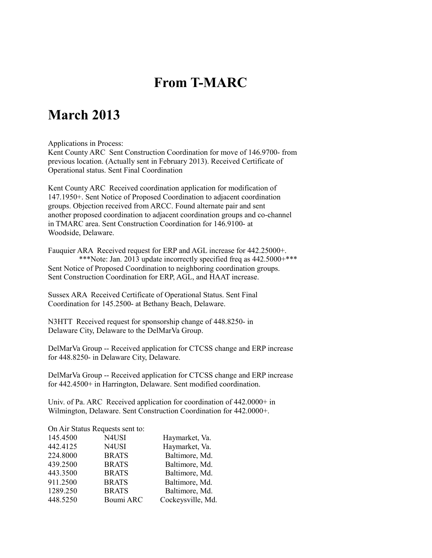### **From T-MARC**

### **March 2013**

Applications in Process:

Kent County ARC Sent Construction Coordination for move of 146.9700- from previous location. (Actually sent in February 2013). Received Certificate of Operational status. Sent Final Coordination

Kent County ARC Received coordination application for modification of 147.1950+. Sent Notice of Proposed Coordination to adjacent coordination groups. Objection received from ARCC. Found alternate pair and sent another proposed coordination to adjacent coordination groups and co-channel in TMARC area. Sent Construction Coordination for 146.9100- at Woodside, Delaware.

Fauquier ARA Received request for ERP and AGL increase for 442.25000+. \*\*\*Note: Jan. 2013 update incorrectly specified freq as 442.5000+\*\*\* Sent Notice of Proposed Coordination to neighboring coordination groups. Sent Construction Coordination for ERP, AGL, and HAAT increase.

Sussex ARA Received Certificate of Operational Status. Sent Final Coordination for 145.2500- at Bethany Beach, Delaware.

N3HTT Received request for sponsorship change of 448.8250- in Delaware City, Delaware to the DelMarVa Group.

DelMarVa Group -- Received application for CTCSS change and ERP increase for 448.8250- in Delaware City, Delaware.

DelMarVa Group -- Received application for CTCSS change and ERP increase for 442.4500+ in Harrington, Delaware. Sent modified coordination.

Univ. of Pa. ARC Received application for coordination of 442.0000+ in Wilmington, Delaware. Sent Construction Coordination for 442.0000+.

|          | On Air Status Requests sent to: |                   |
|----------|---------------------------------|-------------------|
| 145.4500 | N <sub>4</sub> USI              | Haymarket, Va.    |
| 442.4125 | N4USI                           | Haymarket, Va.    |
| 224.8000 | <b>BRATS</b>                    | Baltimore, Md.    |
| 439.2500 | <b>BRATS</b>                    | Baltimore, Md.    |
| 443.3500 | <b>BRATS</b>                    | Baltimore, Md.    |
| 911.2500 | <b>BRATS</b>                    | Baltimore, Md.    |
| 1289.250 | <b>BRATS</b>                    | Baltimore, Md.    |
| 448.5250 | Boumi ARC                       | Cockeysville, Md. |
|          |                                 |                   |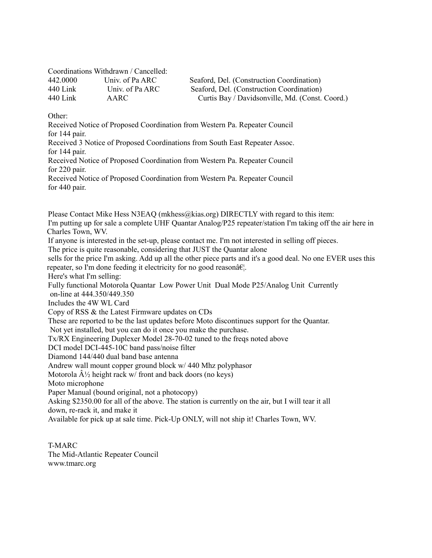Coordinations Withdrawn / Cancelled:

442.0000 Univ. of Pa ARC Seaford, Del. (Construction Coordination) 440 Link Univ. of Pa ARC Seaford, Del. (Construction Coordination) 440 Link AARC Curtis Bay / Davidsonville, Md. (Const. Coord.)

Other:

Received Notice of Proposed Coordination from Western Pa. Repeater Council for 144 pair.

Received 3 Notice of Proposed Coordinations from South East Repeater Assoc. for 144 pair.

Received Notice of Proposed Coordination from Western Pa. Repeater Council for 220 pair.

Received Notice of Proposed Coordination from Western Pa. Repeater Council for 440 pair.

Please Contact Mike Hess N3EAQ (mkhess@kias.org) DIRECTLY with regard to this item: I'm putting up for sale a complete UHF Quantar Analog/P25 repeater/station I'm taking off the air here in Charles Town, WV. If anyone is interested in the set-up, please contact me. I'm not interested in selling off pieces. The price is quite reasonable, considering that JUST the Quantar alone sells for the price I'm asking. Add up all the other piece parts and it's a good deal. No one EVER uses this repeater, so I'm done feeding it electricity for no good reasona $E$ . Here's what I'm selling: Fully functional Motorola Quantar Low Power Unit Dual Mode P25/Analog Unit Currently on-line at 444.350/449.350 Includes the 4W WL Card Copy of RSS & the Latest Firmware updates on CDs These are reported to be the last updates before Moto discontinues support for the Quantar. Not yet installed, but you can do it once you make the purchase. Tx/RX Engineering Duplexer Model 28-70-02 tuned to the freqs noted above DCI model DCI-445-10C band pass/noise filter Diamond 144/440 dual band base antenna Andrew wall mount copper ground block w/ 440 Mhz polyphasor Motorola  $\hat{A}^{1/2}$  height rack w/ front and back doors (no keys) Moto microphone Paper Manual (bound original, not a photocopy) Asking \$2350.00 for all of the above. The station is currently on the air, but I will tear it all down, re-rack it, and make it Available for pick up at sale time. Pick-Up ONLY, will not ship it! Charles Town, WV.

T-MARC The Mid-Atlantic Repeater Council www.tmarc.org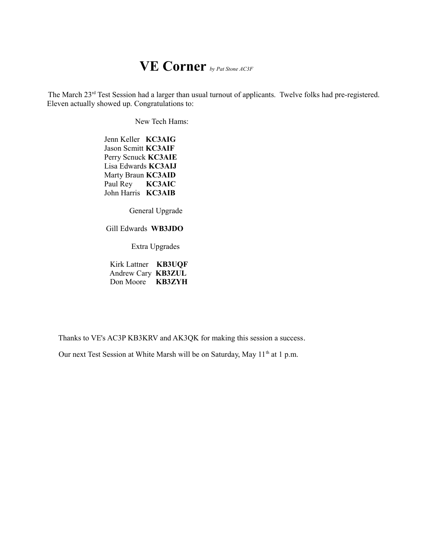#### **VE Corner** *by Pat Stone AC3F*

The March 23<sup>rd</sup> Test Session had a larger than usual turnout of applicants. Twelve folks had pre-registered. Eleven actually showed up. Congratulations to:

New Tech Hams:

 Jenn Keller **KC3AIG** Jason Scmitt **KC3AIF** Perry Scnuck **KC3AIE** Lisa Edwards **KC3AIJ** Marty Braun **KC3AID** Paul Rey **KC3AIC** John Harris **KC3AIB** 

General Upgrade

Gill Edwards **WB3JDO**

Extra Upgrades

 Kirk Lattner **KB3UQF** Andrew Cary **KB3ZUL** Don Moore **KB3ZYH**

Thanks to VE's AC3P KB3KRV and AK3QK for making this session a success.

Our next Test Session at White Marsh will be on Saturday, May 11<sup>th</sup> at 1 p.m.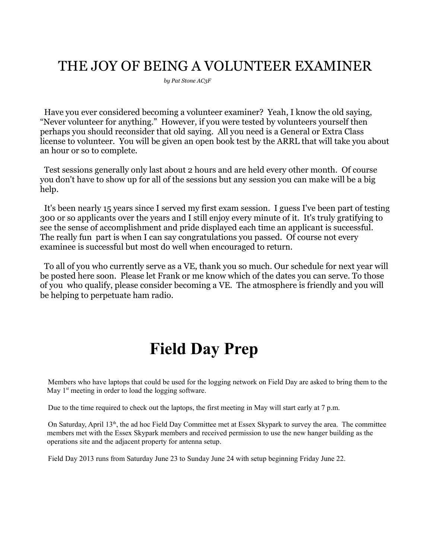## THE JOY OF BEING A VOLUNTEER EXAMINER

*by Pat Stone AC3F*

 Have you ever considered becoming a volunteer examiner? Yeah, I know the old saying, "Never volunteer for anything." However, if you were tested by volunteers yourself then perhaps you should reconsider that old saying. All you need is a General or Extra Class license to volunteer. You will be given an open book test by the ARRL that will take you about an hour or so to complete.

 Test sessions generally only last about 2 hours and are held every other month. Of course you don't have to show up for all of the sessions but any session you can make will be a big help.

 It's been nearly 15 years since I served my first exam session. I guess I've been part of testing 300 or so applicants over the years and I still enjoy every minute of it. It's truly gratifying to see the sense of accomplishment and pride displayed each time an applicant is successful. The really fun part is when I can say congratulations you passed. Of course not every examinee is successful but most do well when encouraged to return.

 To all of you who currently serve as a VE, thank you so much. Our schedule for next year will be posted here soon. Please let Frank or me know which of the dates you can serve. To those of you who qualify, please consider becoming a VE. The atmosphere is friendly and you will be helping to perpetuate ham radio.

# **Field Day Prep**

Members who have laptops that could be used for the logging network on Field Day are asked to bring them to the May  $1<sup>st</sup>$  meeting in order to load the logging software.

Due to the time required to check out the laptops, the first meeting in May will start early at 7 p.m.

On Saturday, April 13th, the ad hoc Field Day Committee met at Essex Skypark to survey the area. The committee members met with the Essex Skypark members and received permission to use the new hanger building as the operations site and the adjacent property for antenna setup.

Field Day 2013 runs from Saturday June 23 to Sunday June 24 with setup beginning Friday June 22.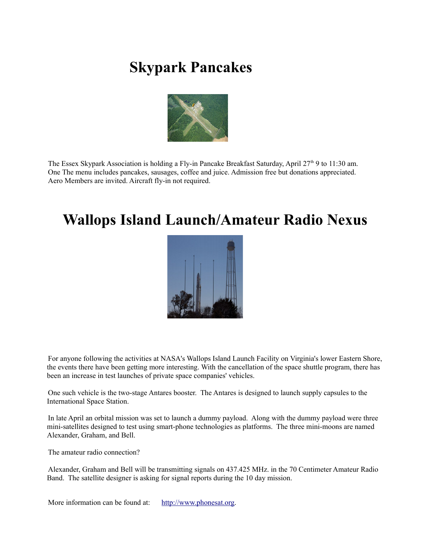## **Skypark Pancakes**



The Essex Skypark Association is holding a Fly-in Pancake Breakfast Saturday, April  $27<sup>th</sup>$  9 to 11:30 am. One The menu includes pancakes, sausages, coffee and juice. Admission free but donations appreciated. Aero Members are invited. Aircraft fly-in not required.

## **Wallops Island Launch/Amateur Radio Nexus**



For anyone following the activities at NASA's Wallops Island Launch Facility on Virginia's lower Eastern Shore, the events there have been getting more interesting. With the cancellation of the space shuttle program, there has been an increase in test launches of private space companies' vehicles.

One such vehicle is the two-stage Antares booster. The Antares is designed to launch supply capsules to the International Space Station.

In late April an orbital mission was set to launch a dummy payload. Along with the dummy payload were three mini-satellites designed to test using smart-phone technologies as platforms. The three mini-moons are named Alexander, Graham, and Bell.

The amateur radio connection?

Alexander, Graham and Bell will be transmitting signals on 437.425 MHz. in the 70 Centimeter Amateur Radio Band. The satellite designer is asking for signal reports during the 10 day mission.

More information can be found at: [http://www.phonesat.org.](http://www.phonesat.org/)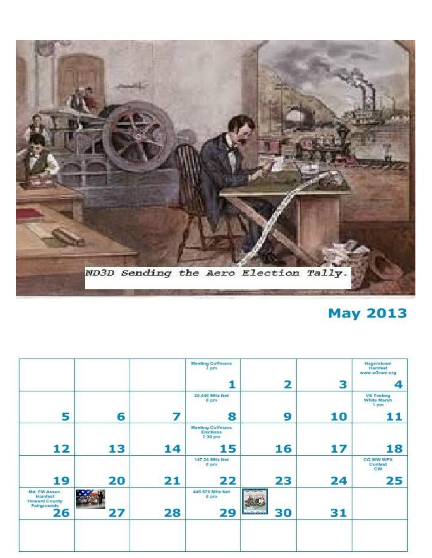

# **May 2013**

|                                                                        |    |    | <b>Meeting Coffmans</b><br>7.0 <sub>m</sub>     |                  |    | Hagerstown<br>Hamfest<br>www.w3cwc.org   |
|------------------------------------------------------------------------|----|----|-------------------------------------------------|------------------|----|------------------------------------------|
|                                                                        |    |    |                                                 | 2                | з  | 4                                        |
|                                                                        |    |    | 28,445 MHz Net<br>8 pm                          |                  |    | <b>VE Testing</b><br>White Marsh<br>1 pm |
| 5                                                                      | 6  | 7  | 8                                               | 9                | 10 | 11                                       |
|                                                                        |    |    | <b>Meeting Coffmans</b><br>Elections<br>7:30 pm |                  |    |                                          |
| 12                                                                     | 13 | 14 | 15                                              | 16               | 17 | 18                                       |
|                                                                        |    |    | 147.24 MHz Net<br>8 pm                          |                  |    | CQ WW WPX<br>Contest<br><b>CW</b>        |
| 19                                                                     | 20 | 21 | 22                                              | 23               | 24 | 25                                       |
| Md. FM Assoc.<br><b>Hamfest</b><br><b>Howard County</b><br>Fairgrounds |    |    | 449.575 MHz Net<br>8 pm                         | <b>March 200</b> |    |                                          |
| 26                                                                     | 27 | 28 | 29                                              | 30               | 31 |                                          |
|                                                                        |    |    |                                                 |                  |    |                                          |
|                                                                        |    |    |                                                 |                  |    |                                          |